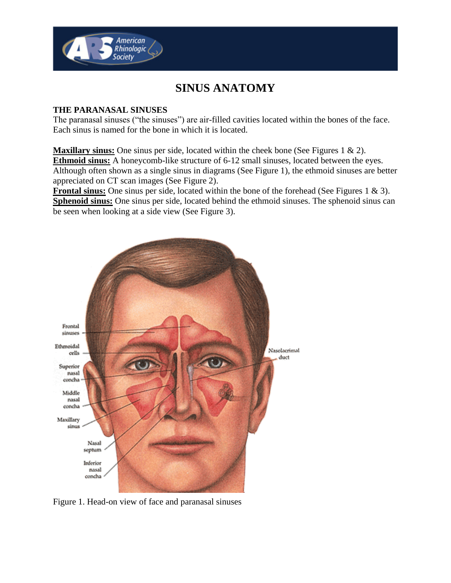

## **SINUS ANATOMY**

## **THE PARANASAL SINUSES**

The paranasal sinuses ("the sinuses") are air-filled cavities located within the bones of the face. Each sinus is named for the bone in which it is located.

**Maxillary sinus:** One sinus per side, located within the cheek bone (See Figures 1 & 2). **Ethmoid sinus:** A honeycomb-like structure of 6-12 small sinuses, located between the eyes. Although often shown as a single sinus in diagrams (See Figure 1), the ethmoid sinuses are better appreciated on CT scan images (See Figure 2).

**Frontal sinus:** One sinus per side, located within the bone of the forehead (See Figures 1 & 3). **Sphenoid sinus:** One sinus per side, located behind the ethmoid sinuses. The sphenoid sinus can be seen when looking at a side view (See Figure 3).



Figure 1. Head-on view of face and paranasal sinuses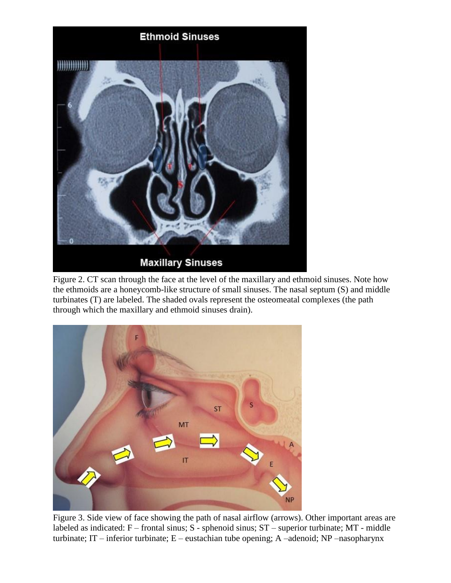

Figure 2. CT scan through the face at the level of the maxillary and ethmoid sinuses. Note how the ethmoids are a honeycomb-like structure of small sinuses. The nasal septum (S) and middle turbinates (T) are labeled. The shaded ovals represent the osteomeatal complexes (the path through which the maxillary and ethmoid sinuses drain).



Figure 3. Side view of face showing the path of nasal airflow (arrows). Other important areas are labeled as indicated: F – frontal sinus; S - sphenoid sinus; ST – superior turbinate; MT - middle turbinate; IT – inferior turbinate; E – eustachian tube opening; A –adenoid; NP –nasopharynx